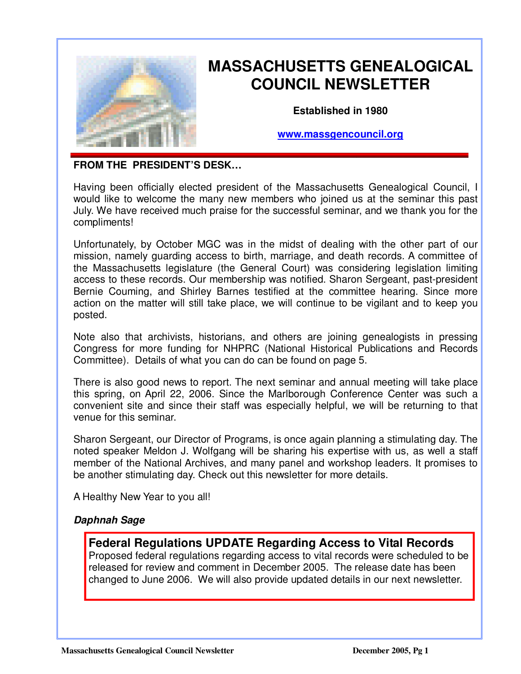

Ξ

# **MASSACHUSETTS GENEALOGICAL COUNCIL NEWSLETTER**

**Established in 1980** 

**www.massgencouncil.org**

#### **FROM THE PRESIDENT'S DESK…**

Having been officially elected president of the Massachusetts Genealogical Council, I would like to welcome the many new members who joined us at the seminar this past July. We have received much praise for the successful seminar, and we thank you for the compliments!

Unfortunately, by October MGC was in the midst of dealing with the other part of our mission, namely guarding access to birth, marriage, and death records. A committee of the Massachusetts legislature (the General Court) was considering legislation limiting access to these records. Our membership was notified. Sharon Sergeant, past-president Bernie Couming, and Shirley Barnes testified at the committee hearing. Since more action on the matter will still take place, we will continue to be vigilant and to keep you posted.

Note also that archivists, historians, and others are joining genealogists in pressing Congress for more funding for NHPRC (National Historical Publications and Records Committee). Details of what you can do can be found on page 5.

There is also good news to report. The next seminar and annual meeting will take place this spring, on April 22, 2006. Since the Marlborough Conference Center was such a convenient site and since their staff was especially helpful, we will be returning to that venue for this seminar.

Sharon Sergeant, our Director of Programs, is once again planning a stimulating day. The noted speaker Meldon J. Wolfgang will be sharing his expertise with us, as well a staff member of the National Archives, and many panel and workshop leaders. It promises to be another stimulating day. Check out this newsletter for more details.

A Healthy New Year to you all!

### **Daphnah Sage**

### **Federal Regulations UPDATE Regarding Access to Vital Records**

Proposed federal regulations regarding access to vital records were scheduled to be released for review and comment in December 2005. The release date has been changed to June 2006. We will also provide updated details in our next newsletter.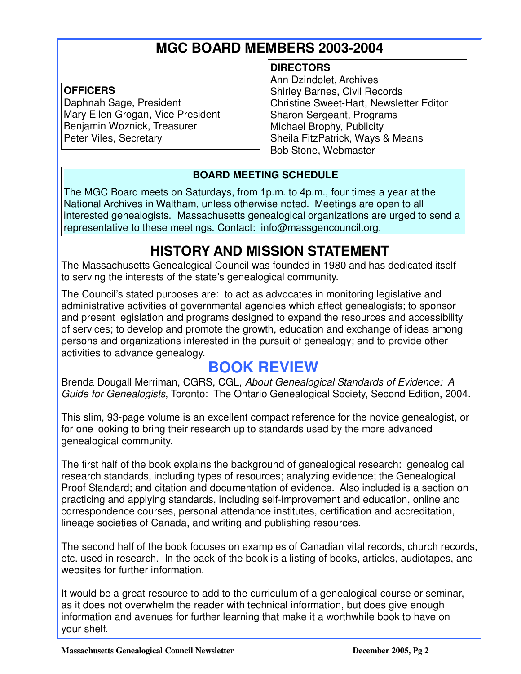# **MGC BOARD MEMBERS 2003-2004**

#### **OFFICERS**

Ξ

Daphnah Sage, President Mary Ellen Grogan, Vice President Benjamin Woznick, Treasurer Peter Viles, Secretary

#### **DIRECTORS**

Ann Dzindolet, Archives Shirley Barnes, Civil Records Christine Sweet-Hart, Newsletter Editor Sharon Sergeant, Programs Michael Brophy, Publicity Sheila FitzPatrick, Ways & Means Bob Stone, Webmaster

### **BOARD MEETING SCHEDULE**

The MGC Board meets on Saturdays, from 1p.m. to 4p.m., four times a year at the National Archives in Waltham, unless otherwise noted. Meetings are open to all interested genealogists. Massachusetts genealogical organizations are urged to send a representative to these meetings. Contact: info@massgencouncil.org.

# **HISTORY AND MISSION STATEMENT**

The Massachusetts Genealogical Council was founded in 1980 and has dedicated itself to serving the interests of the state's genealogical community.

The Council's stated purposes are: to act as advocates in monitoring legislative and administrative activities of governmental agencies which affect genealogists; to sponsor and present legislation and programs designed to expand the resources and accessibility of services; to develop and promote the growth, education and exchange of ideas among persons and organizations interested in the pursuit of genealogy; and to provide other activities to advance genealogy.

## **BOOK REVIEW**

Brenda Dougall Merriman, CGRS, CGL, About Genealogical Standards of Evidence: A Guide for Genealogists, Toronto: The Ontario Genealogical Society, Second Edition, 2004.

This slim, 93-page volume is an excellent compact reference for the novice genealogist, or for one looking to bring their research up to standards used by the more advanced genealogical community.

The first half of the book explains the background of genealogical research: genealogical research standards, including types of resources; analyzing evidence; the Genealogical Proof Standard; and citation and documentation of evidence. Also included is a section on practicing and applying standards, including self-improvement and education, online and correspondence courses, personal attendance institutes, certification and accreditation, lineage societies of Canada, and writing and publishing resources.

The second half of the book focuses on examples of Canadian vital records, church records, etc. used in research. In the back of the book is a listing of books, articles, audiotapes, and websites for further information.

It would be a great resource to add to the curriculum of a genealogical course or seminar, as it does not overwhelm the reader with technical information, but does give enough information and avenues for further learning that make it a worthwhile book to have on your shelf.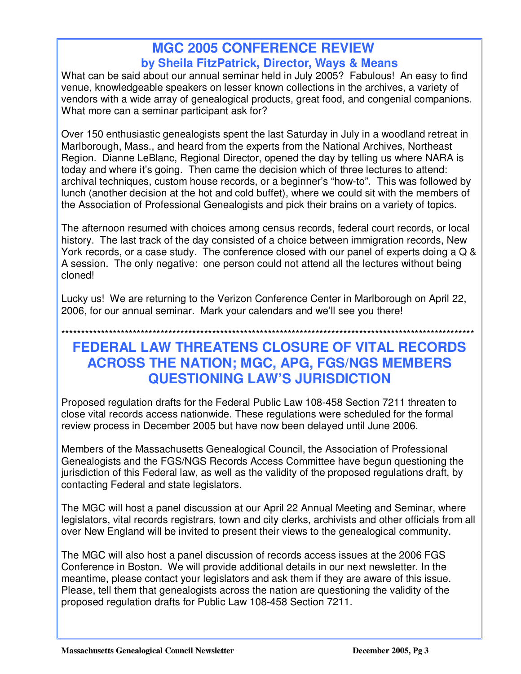## **MGC 2005 CONFERENCE REVIEW by Sheila FitzPatrick, Director, Ways & Means**

What can be said about our annual seminar held in July 2005? Fabulous! An easy to find venue, knowledgeable speakers on lesser known collections in the archives, a variety of vendors with a wide array of genealogical products, great food, and congenial companions. What more can a seminar participant ask for?

Over 150 enthusiastic genealogists spent the last Saturday in July in a woodland retreat in Marlborough, Mass., and heard from the experts from the National Archives, Northeast Region. Dianne LeBlanc, Regional Director, opened the day by telling us where NARA is today and where it's going. Then came the decision which of three lectures to attend: archival techniques, custom house records, or a beginner's "how-to". This was followed by lunch (another decision at the hot and cold buffet), where we could sit with the members of the Association of Professional Genealogists and pick their brains on a variety of topics.

The afternoon resumed with choices among census records, federal court records, or local history. The last track of the day consisted of a choice between immigration records, New York records, or a case study. The conference closed with our panel of experts doing a Q & A session. The only negative: one person could not attend all the lectures without being cloned!

Lucky us! We are returning to the Verizon Conference Center in Marlborough on April 22, 2006, for our annual seminar. Mark your calendars and we'll see you there!

# \*\*\*\*\*\*\*\*\*\*\*\*\*\*\*\*\*\*\*\*\*\*\*\*\*\*\*\*\*\*\*\*\*\*\*\*\*\*\*\*\*\*\*\*\*\*\*\*\*\*\*\*\*\*\*\*\*\*\*\*\*\*\*\*\*\*\*\*\*\*\*\*\*\*\*\*\*\*\*\*\*\*\*\*\*\*\*\*\*\*\*\*\*\*\*\*\*\*\*\*\*\*\*\*

## **FEDERAL LAW THREATENS CLOSURE OF VITAL RECORDS ACROSS THE NATION; MGC, APG, FGS/NGS MEMBERS QUESTIONING LAW'S JURISDICTION**

Proposed regulation drafts for the Federal Public Law 108-458 Section 7211 threaten to close vital records access nationwide. These regulations were scheduled for the formal review process in December 2005 but have now been delayed until June 2006.

Members of the Massachusetts Genealogical Council, the Association of Professional Genealogists and the FGS/NGS Records Access Committee have begun questioning the jurisdiction of this Federal law, as well as the validity of the proposed regulations draft, by contacting Federal and state legislators.

The MGC will host a panel discussion at our April 22 Annual Meeting and Seminar, where legislators, vital records registrars, town and city clerks, archivists and other officials from all over New England will be invited to present their views to the genealogical community.

The MGC will also host a panel discussion of records access issues at the 2006 FGS Conference in Boston. We will provide additional details in our next newsletter. In the meantime, please contact your legislators and ask them if they are aware of this issue. Please, tell them that genealogists across the nation are questioning the validity of the proposed regulation drafts for Public Law 108-458 Section 7211.

Ξ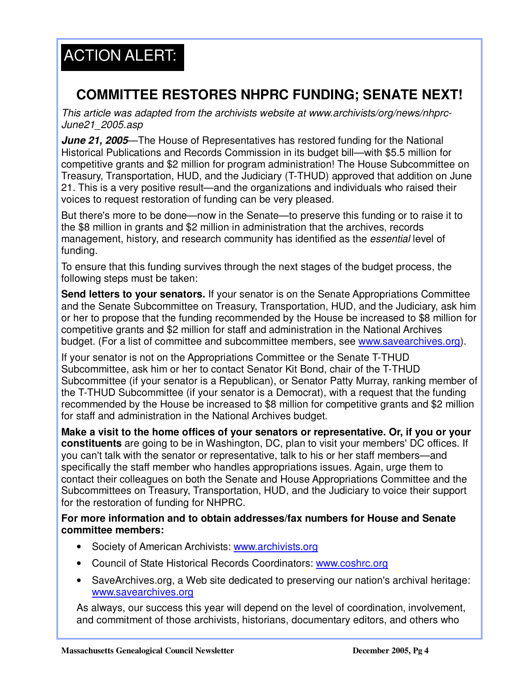## i ACTION ALERT:

# **COMMITTEE RESTORES NHPRC FUNDING; SENATE NEXT!**

This article was adapted from the archivists website at www.archivists/org/news/nhprc-June21\_2005.asp

**June 21, 2005**—The House of Representatives has restored funding for the National Historical Publications and Records Commission in its budget bill—with \$5.5 million for competitive grants and \$2 million for program administration! The House Subcommittee on Treasury, Transportation, HUD, and the Judiciary (T-THUD) approved that addition on June 21. This is a very positive result—and the organizations and individuals who raised their voices to request restoration of funding can be very pleased.

But there's more to be done—now in the Senate—to preserve this funding or to raise it to the \$8 million in grants and \$2 million in administration that the archives, records management, history, and research community has identified as the essential level of funding.

To ensure that this funding survives through the next stages of the budget process, the following steps must be taken:

**Send letters to your senators.** If your senator is on the Senate Appropriations Committee and the Senate Subcommittee on Treasury, Transportation, HUD, and the Judiciary, ask him or her to propose that the funding recommended by the House be increased to \$8 million for competitive grants and \$2 million for staff and administration in the National Archives budget. (For a list of committee and subcommittee members, see www.savearchives.org).

If your senator is not on the Appropriations Committee or the Senate T-THUD Subcommittee, ask him or her to contact Senator Kit Bond, chair of the T-THUD Subcommittee (if your senator is a Republican), or Senator Patty Murray, ranking member of the T-THUD Subcommittee (if your senator is a Democrat), with a request that the funding recommended by the House be increased to \$8 million for competitive grants and \$2 million for staff and administration in the National Archives budget.

**Make a visit to the home offices of your senators or representative. Or, if you or your constituents** are going to be in Washington, DC, plan to visit your members' DC offices. If you can't talk with the senator or representative, talk to his or her staff members—and specifically the staff member who handles appropriations issues. Again, urge them to contact their colleagues on both the Senate and House Appropriations Committee and the Subcommittees on Treasury, Transportation, HUD, and the Judiciary to voice their support for the restoration of funding for NHPRC.

**For more information and to obtain addresses/fax numbers for House and Senate committee members:**

- Society of American Archivists: www.archivists.org
- Council of State Historical Records Coordinators: www.coshrc.org
- SaveArchives.org, a Web site dedicated to preserving our nation's archival heritage: www.savearchives.org

As always, our success this year will depend on the level of coordination, involvement, and commitment of those archivists, historians, documentary editors, and others who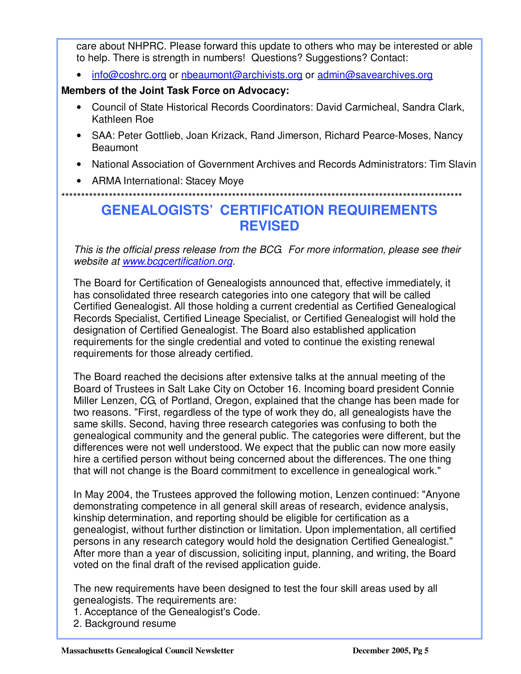care about NHPRC. Please forward this update to others who may be interested or able to help. There is strength in numbers! Questions? Suggestions? Contact:

• info@coshrc.org or nbeaumont@archivists.org or admin@savearchives.org

#### **Members of the Joint Task Force on Advocacy:**

Ξ

- Council of State Historical Records Coordinators: David Carmicheal, Sandra Clark, Kathleen Roe
- SAA: Peter Gottlieb, Joan Krizack, Rand Jimerson, Richard Pearce-Moses, Nancy Beaumont
- National Association of Government Archives and Records Administrators: Tim Slavin
- ARMA International: Stacey Moye

\*\*\*\*\*\*\*\*\*\*\*\*\*\*\*\*\*\*\*\*\*\*\*\*\*\*\*\*\*\*\*\*\*\*\*\*\*\*\*\*\*\*\*\*\*\*\*\*\*\*\*\*\*\*\*\*\*\*\*\*\*\*\*\*\*\*\*\*\*\*\*\*\*\*\*\*\*\*\*\*\*\*\*\*\*\*\*\*\*\*\*\*\*\*\*\*\*\*\*\*\*

## **GENEALOGISTS' CERTIFICATION REQUIREMENTS REVISED**

This is the official press release from the BCG. For more information, please see their website at www.bcgcertification.org.

The Board for Certification of Genealogists announced that, effective immediately, it has consolidated three research categories into one category that will be called Certified Genealogist. All those holding a current credential as Certified Genealogical Records Specialist, Certified Lineage Specialist, or Certified Genealogist will hold the designation of Certified Genealogist. The Board also established application requirements for the single credential and voted to continue the existing renewal requirements for those already certified.

The Board reached the decisions after extensive talks at the annual meeting of the Board of Trustees in Salt Lake City on October 16. Incoming board president Connie Miller Lenzen, CG, of Portland, Oregon, explained that the change has been made for two reasons. "First, regardless of the type of work they do, all genealogists have the same skills. Second, having three research categories was confusing to both the genealogical community and the general public. The categories were different, but the differences were not well understood. We expect that the public can now more easily hire a certified person without being concerned about the differences. The one thing that will not change is the Board commitment to excellence in genealogical work."

In May 2004, the Trustees approved the following motion, Lenzen continued: "Anyone demonstrating competence in all general skill areas of research, evidence analysis, kinship determination, and reporting should be eligible for certification as a genealogist, without further distinction or limitation. Upon implementation, all certified persons in any research category would hold the designation Certified Genealogist." After more than a year of discussion, soliciting input, planning, and writing, the Board voted on the final draft of the revised application guide.

The new requirements have been designed to test the four skill areas used by all genealogists. The requirements are:

1. Acceptance of the Genealogist's Code.

2. Background resume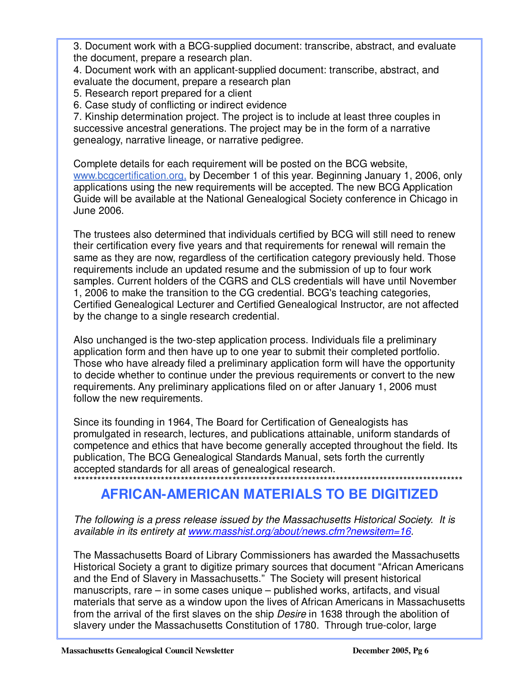3. Document work with a BCG-supplied document: transcribe, abstract, and evaluate the document, prepare a research plan.

4. Document work with an applicant-supplied document: transcribe, abstract, and evaluate the document, prepare a research plan

5. Research report prepared for a client

Ξ

6. Case study of conflicting or indirect evidence

7. Kinship determination project. The project is to include at least three couples in successive ancestral generations. The project may be in the form of a narrative genealogy, narrative lineage, or narrative pedigree.

Complete details for each requirement will be posted on the BCG website, www.bcgcertification.org, by December 1 of this year. Beginning January 1, 2006, only applications using the new requirements will be accepted. The new BCG Application Guide will be available at the National Genealogical Society conference in Chicago in June 2006.

The trustees also determined that individuals certified by BCG will still need to renew their certification every five years and that requirements for renewal will remain the same as they are now, regardless of the certification category previously held. Those requirements include an updated resume and the submission of up to four work samples. Current holders of the CGRS and CLS credentials will have until November 1, 2006 to make the transition to the CG credential. BCG's teaching categories, Certified Genealogical Lecturer and Certified Genealogical Instructor, are not affected by the change to a single research credential.

Also unchanged is the two-step application process. Individuals file a preliminary application form and then have up to one year to submit their completed portfolio. Those who have already filed a preliminary application form will have the opportunity to decide whether to continue under the previous requirements or convert to the new requirements. Any preliminary applications filed on or after January 1, 2006 must follow the new requirements.

Since its founding in 1964, The Board for Certification of Genealogists has promulgated in research, lectures, and publications attainable, uniform standards of competence and ethics that have become generally accepted throughout the field. Its publication, The BCG Genealogical Standards Manual, sets forth the currently accepted standards for all areas of genealogical research.

### \*\*\*\*\*\*\*\*\*\*\*\*\*\*\*\*\*\*\*\*\*\*\*\*\*\*\*\*\*\*\*\*\*\*\*\*\*\*\*\*\*\*\*\*\*\*\*\*\*\*\*\*\*\*\*\*\*\*\*\*\*\*\*\*\*\*\*\*\*\*\*\*\*\*\*\*\*\*\*\*\*\*\*\*\*\*\*\*\*\*\*\*\*\*\*\*\*\* **AFRICAN-AMERICAN MATERIALS TO BE DIGITIZED**

The following is a press release issued by the Massachusetts Historical Society. It is available in its entirety at www.masshist.org/about/news.cfm?newsitem=16.

The Massachusetts Board of Library Commissioners has awarded the Massachusetts Historical Society a grant to digitize primary sources that document "African Americans and the End of Slavery in Massachusetts." The Society will present historical manuscripts, rare – in some cases unique – published works, artifacts, and visual materials that serve as a window upon the lives of African Americans in Massachusetts from the arrival of the first slaves on the ship Desire in 1638 through the abolition of slavery under the Massachusetts Constitution of 1780. Through true-color, large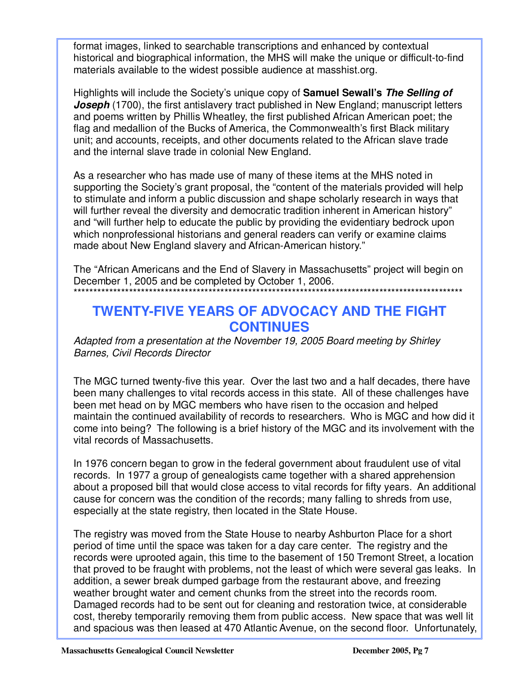format images, linked to searchable transcriptions and enhanced by contextual historical and biographical information, the MHS will make the unique or difficult-to-find materials available to the widest possible audience at masshist.org.

Highlights will include the Society's unique copy of **Samuel Sewall's The Selling of Joseph** (1700), the first antislavery tract published in New England; manuscript letters and poems written by Phillis Wheatley, the first published African American poet; the flag and medallion of the Bucks of America, the Commonwealth's first Black military unit; and accounts, receipts, and other documents related to the African slave trade and the internal slave trade in colonial New England.

As a researcher who has made use of many of these items at the MHS noted in supporting the Society's grant proposal, the "content of the materials provided will help to stimulate and inform a public discussion and shape scholarly research in ways that will further reveal the diversity and democratic tradition inherent in American history" and "will further help to educate the public by providing the evidentiary bedrock upon which nonprofessional historians and general readers can verify or examine claims made about New England slavery and African-American history."

The "African Americans and the End of Slavery in Massachusetts" project will begin on December 1, 2005 and be completed by October 1, 2006. \*\*\*\*\*\*\*\*\*\*\*\*\*\*\*\*\*\*\*\*\*\*\*\*\*\*\*\*\*\*\*\*\*\*\*\*\*\*\*\*\*\*\*\*\*\*\*\*\*\*\*\*\*\*\*\*\*\*\*\*\*\*\*\*\*\*\*\*\*\*\*\*\*\*\*\*\*\*\*\*\*\*\*\*\*\*\*\*\*\*\*\*\*\*\*\*\*\*

## **TWENTY-FIVE YEARS OF ADVOCACY AND THE FIGHT CONTINUES**

Adapted from a presentation at the November 19, 2005 Board meeting by Shirley Barnes, Civil Records Director

The MGC turned twenty-five this year. Over the last two and a half decades, there have been many challenges to vital records access in this state. All of these challenges have been met head on by MGC members who have risen to the occasion and helped maintain the continued availability of records to researchers. Who is MGC and how did it come into being? The following is a brief history of the MGC and its involvement with the vital records of Massachusetts.

In 1976 concern began to grow in the federal government about fraudulent use of vital records. In 1977 a group of genealogists came together with a shared apprehension about a proposed bill that would close access to vital records for fifty years. An additional cause for concern was the condition of the records; many falling to shreds from use, especially at the state registry, then located in the State House.

The registry was moved from the State House to nearby Ashburton Place for a short period of time until the space was taken for a day care center. The registry and the records were uprooted again, this time to the basement of 150 Tremont Street, a location that proved to be fraught with problems, not the least of which were several gas leaks. In addition, a sewer break dumped garbage from the restaurant above, and freezing weather brought water and cement chunks from the street into the records room. Damaged records had to be sent out for cleaning and restoration twice, at considerable cost, thereby temporarily removing them from public access. New space that was well lit and spacious was then leased at 470 Atlantic Avenue, on the second floor. Unfortunately,

Ξ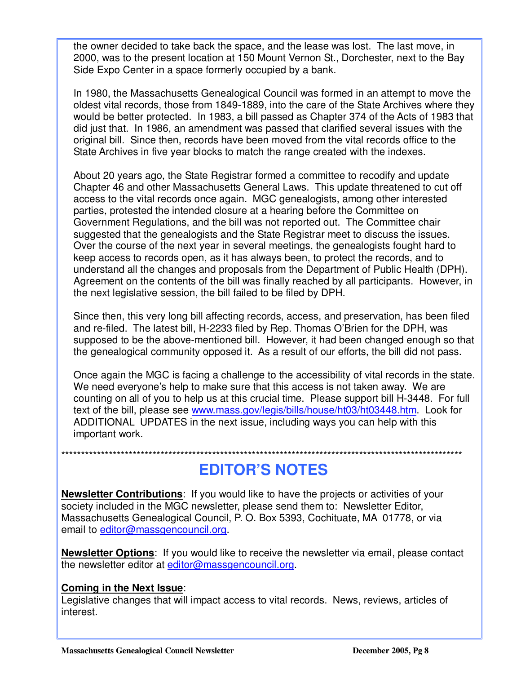the owner decided to take back the space, and the lease was lost. The last move, in 2000, was to the present location at 150 Mount Vernon St., Dorchester, next to the Bay Side Expo Center in a space formerly occupied by a bank.

In 1980, the Massachusetts Genealogical Council was formed in an attempt to move the oldest vital records, those from 1849-1889, into the care of the State Archives where they would be better protected. In 1983, a bill passed as Chapter 374 of the Acts of 1983 that did just that. In 1986, an amendment was passed that clarified several issues with the original bill. Since then, records have been moved from the vital records office to the State Archives in five year blocks to match the range created with the indexes.

About 20 years ago, the State Registrar formed a committee to recodify and update Chapter 46 and other Massachusetts General Laws. This update threatened to cut off access to the vital records once again. MGC genealogists, among other interested parties, protested the intended closure at a hearing before the Committee on Government Regulations, and the bill was not reported out. The Committee chair suggested that the genealogists and the State Registrar meet to discuss the issues. Over the course of the next year in several meetings, the genealogists fought hard to keep access to records open, as it has always been, to protect the records, and to understand all the changes and proposals from the Department of Public Health (DPH). Agreement on the contents of the bill was finally reached by all participants. However, in the next legislative session, the bill failed to be filed by DPH.

Since then, this very long bill affecting records, access, and preservation, has been filed and re-filed. The latest bill, H-2233 filed by Rep. Thomas O'Brien for the DPH, was supposed to be the above-mentioned bill. However, it had been changed enough so that the genealogical community opposed it. As a result of our efforts, the bill did not pass.

Once again the MGC is facing a challenge to the accessibility of vital records in the state. We need everyone's help to make sure that this access is not taken away. We are counting on all of you to help us at this crucial time. Please support bill H-3448. For full text of the bill, please see www.mass.gov/legis/bills/house/ht03/ht03448.htm. Look for ADDITIONAL UPDATES in the next issue, including ways you can help with this important work.

\*\*\*\*\*\*\*\*\*\*\*\*\*\*\*\*\*\*\*\*\*\*\*\*\*\*\*\*\*\*\*\*\*\*\*\*\*\*\*\*\*\*\*\*\*\*\*\*\*\*\*\*\*\*\*\*\*\*\*\*\*\*\*\*\*\*\*\*\*\*\*\*\*\*\*\*\*\*\*\*\*\*\*\*\*\*\*\*\*\*\*\*\*\*\*\*\*\*\*\*\*

**EDITOR'S NOTES**

**Newsletter Contributions**: If you would like to have the projects or activities of your society included in the MGC newsletter, please send them to: Newsletter Editor, Massachusetts Genealogical Council, P. O. Box 5393, Cochituate, MA 01778, or via email to editor@massgencouncil.org.

**Newsletter Options**: If you would like to receive the newsletter via email, please contact the newsletter editor at editor@massgencouncil.org.

### **Coming in the Next Issue**:

Ξ

Legislative changes that will impact access to vital records. News, reviews, articles of interest.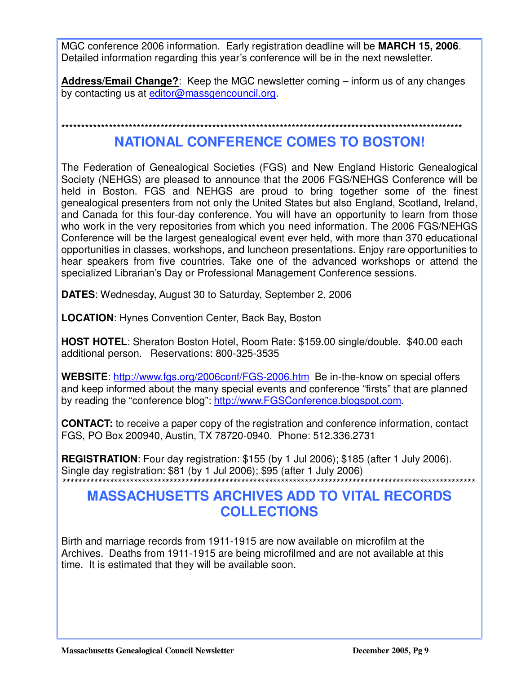MGC conference 2006 information. Early registration deadline will be **MARCH 15, 2006**. Detailed information regarding this year's conference will be in the next newsletter.

**Address/Email Change?**: Keep the MGC newsletter coming – inform us of any changes by contacting us at editor@massgencouncil.org.

\*\*\*\*\*\*\*\*\*\*\*\*\*\*\*\*\*\*\*\*\*\*\*\*\*\*\*\*\*\*\*\*\*\*\*\*\*\*\*\*\*\*\*\*\*\*\*\*\*\*\*\*\*\*\*\*\*\*\*\*\*\*\*\*\*\*\*\*\*\*\*\*\*\*\*\*\*\*\*\*\*\*\*\*\*\*\*\*\*\*\*\*\*\*\*\*\*\*\*\*\*

# **NATIONAL CONFERENCE COMES TO BOSTON!**

The Federation of Genealogical Societies (FGS) and New England Historic Genealogical Society (NEHGS) are pleased to announce that the 2006 FGS/NEHGS Conference will be held in Boston. FGS and NEHGS are proud to bring together some of the finest genealogical presenters from not only the United States but also England, Scotland, Ireland, and Canada for this four-day conference. You will have an opportunity to learn from those who work in the very repositories from which you need information. The 2006 FGS/NEHGS Conference will be the largest genealogical event ever held, with more than 370 educational opportunities in classes, workshops, and luncheon presentations. Enjoy rare opportunities to hear speakers from five countries. Take one of the advanced workshops or attend the specialized Librarian's Day or Professional Management Conference sessions.

**DATES**: Wednesday, August 30 to Saturday, September 2, 2006

**LOCATION**: Hynes Convention Center, Back Bay, Boston

**HOST HOTEL**: Sheraton Boston Hotel, Room Rate: \$159.00 single/double. \$40.00 each additional person. Reservations: 800-325-3535

WEBSITE: http://www.fgs.org/2006conf/FGS-2006.htm Be in-the-know on special offers and keep informed about the many special events and conference "firsts" that are planned by reading the "conference blog": http://www.FGSConference.blogspot.com.

**CONTACT:** to receive a paper copy of the registration and conference information, contact FGS, PO Box 200940, Austin, TX 78720-0940. Phone: 512.336.2731

**REGISTRATION**: Four day registration: \$155 (by 1 Jul 2006); \$185 (after 1 July 2006). Single day registration: \$81 (by 1 Jul 2006); \$95 (after 1 July 2006)

## \*\*\*\*\*\*\*\*\*\*\*\*\*\*\*\*\*\*\*\*\*\*\*\*\*\*\*\*\*\*\*\*\*\*\*\*\*\*\*\*\*\*\*\*\*\*\*\*\*\*\*\*\*\*\*\*\*\*\*\*\*\*\*\*\*\*\*\*\*\*\*\*\*\*\*\*\*\*\*\*\*\*\*\*\*\*\*\*\*\*\*\*\*\*\*\*\*\*\*\*\*\*\*\* **MASSACHUSETTS ARCHIVES ADD TO VITAL RECORDS COLLECTIONS**

Birth and marriage records from 1911-1915 are now available on microfilm at the Archives. Deaths from 1911-1915 are being microfilmed and are not available at this time. It is estimated that they will be available soon.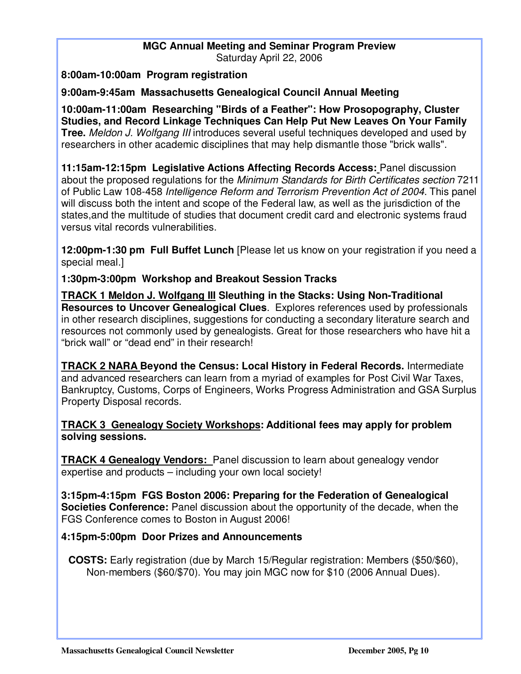#### **MGC Annual Meeting and Seminar Program Preview**  Saturday April 22, 2006

**8:00am-10:00am Program registration** 

Ξ

**9:00am-9:45am Massachusetts Genealogical Council Annual Meeting** 

**10:00am-11:00am Researching "Birds of a Feather": How Prosopography, Cluster Studies, and Record Linkage Techniques Can Help Put New Leaves On Your Family Tree.** Meldon J. Wolfgang III introduces several useful techniques developed and used by researchers in other academic disciplines that may help dismantle those "brick walls".

**11:15am-12:15pm Legislative Actions Affecting Records Access:** Panel discussion about the proposed regulations for the Minimum Standards for Birth Certificates section 7211 of Public Law 108-458 Intelligence Reform and Terrorism Prevention Act of 2004. This panel will discuss both the intent and scope of the Federal law, as well as the jurisdiction of the states,and the multitude of studies that document credit card and electronic systems fraud versus vital records vulnerabilities.

**12:00pm-1:30 pm Full Buffet Lunch** [Please let us know on your registration if you need a special meal.]

**1:30pm-3:00pm Workshop and Breakout Session Tracks** 

**TRACK 1 Meldon J. Wolfgang III Sleuthing in the Stacks: Using Non-Traditional Resources to Uncover Genealogical Clues**. Explores references used by professionals in other research disciplines, suggestions for conducting a secondary literature search and resources not commonly used by genealogists. Great for those researchers who have hit a "brick wall" or "dead end" in their research!

**TRACK 2 NARA Beyond the Census: Local History in Federal Records.** Intermediate and advanced researchers can learn from a myriad of examples for Post Civil War Taxes, Bankruptcy, Customs, Corps of Engineers, Works Progress Administration and GSA Surplus Property Disposal records.

#### **TRACK 3 Genealogy Society Workshops: Additional fees may apply for problem solving sessions.**

**TRACK 4 Genealogy Vendors:** Panel discussion to learn about genealogy vendor expertise and products – including your own local society!

**3:15pm-4:15pm FGS Boston 2006: Preparing for the Federation of Genealogical Societies Conference:** Panel discussion about the opportunity of the decade, when the FGS Conference comes to Boston in August 2006!

### **4:15pm-5:00pm Door Prizes and Announcements**

**COSTS:** Early registration (due by March 15/Regular registration: Members (\$50/\$60), Non-members (\$60/\$70). You may join MGC now for \$10 (2006 Annual Dues).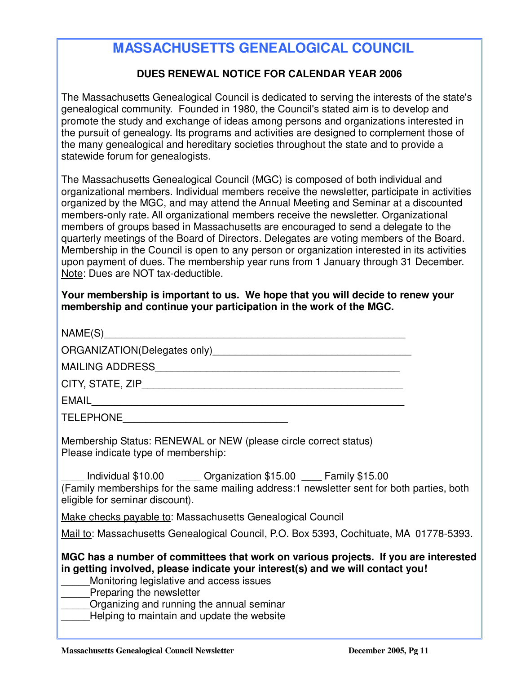# **MASSACHUSETTS GENEALOGICAL COUNCIL**

### **DUES RENEWAL NOTICE FOR CALENDAR YEAR 2006**

The Massachusetts Genealogical Council is dedicated to serving the interests of the state's genealogical community. Founded in 1980, the Council's stated aim is to develop and promote the study and exchange of ideas among persons and organizations interested in the pursuit of genealogy. Its programs and activities are designed to complement those of the many genealogical and hereditary societies throughout the state and to provide a statewide forum for genealogists.

The Massachusetts Genealogical Council (MGC) is composed of both individual and organizational members. Individual members receive the newsletter, participate in activities organized by the MGC, and may attend the Annual Meeting and Seminar at a discounted members-only rate. All organizational members receive the newsletter. Organizational members of groups based in Massachusetts are encouraged to send a delegate to the quarterly meetings of the Board of Directors. Delegates are voting members of the Board. Membership in the Council is open to any person or organization interested in its activities upon payment of dues. The membership year runs from 1 January through 31 December. Note: Dues are NOT tax-deductible.

#### **Your membership is important to us. We hope that you will decide to renew your membership and continue your participation in the work of the MGC.**

| NAME(S)                      |
|------------------------------|
| ORGANIZATION(Delegates only) |
| <b>MAILING ADDRESS</b>       |
| CITY, STATE, ZIP             |

EMAIL\_\_\_\_\_\_\_\_\_\_\_\_\_\_\_\_\_\_\_\_\_\_\_\_\_\_\_\_\_\_\_\_\_\_\_\_\_\_\_\_\_\_\_\_\_\_\_\_\_\_\_\_\_\_\_

Ξ

TELEPHONE\_\_\_\_\_\_\_\_\_\_\_\_\_\_\_\_\_\_\_\_\_\_\_\_\_\_\_\_\_

Membership Status: RENEWAL or NEW (please circle correct status) Please indicate type of membership:

\_\_\_\_ Individual \$10.00 \_\_\_\_ Organization \$15.00 \_\_\_\_ Family \$15.00 (Family memberships for the same mailing address:1 newsletter sent for both parties, both eligible for seminar discount).

Make checks payable to: Massachusetts Genealogical Council

Mail to: Massachusetts Genealogical Council, P.O. Box 5393, Cochituate, MA 01778-5393.

**MGC has a number of committees that work on various projects. If you are interested in getting involved, please indicate your interest(s) and we will contact you!** 

Monitoring legislative and access issues

Preparing the newsletter

Organizing and running the annual seminar

Helping to maintain and update the website